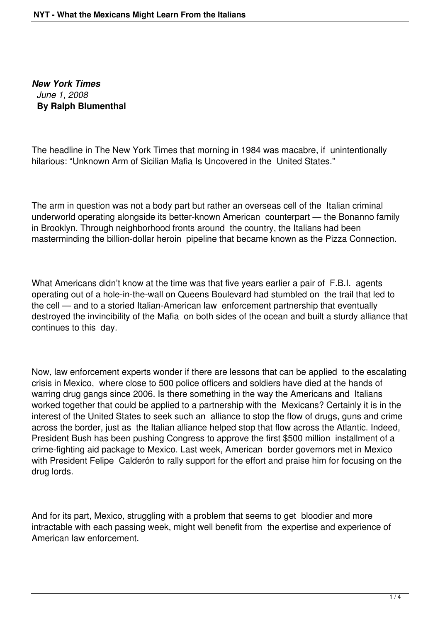*New York Times June 1, 2008* **By Ralph Blumenthal**

The headline in The New York Times that morning in 1984 was macabre, if unintentionally hilarious: "Unknown Arm of Sicilian Mafia Is Uncovered in the United States."

The arm in question was not a body part but rather an overseas cell of the Italian criminal underworld operating alongside its better-known American counterpart — the Bonanno family in Brooklyn. Through neighborhood fronts around the country, the Italians had been masterminding the billion-dollar heroin pipeline that became known as the Pizza Connection.

What Americans didn't know at the time was that five years earlier a pair of F.B.I. agents operating out of a hole-in-the-wall on Queens Boulevard had stumbled on the trail that led to the cell — and to a storied Italian-American law enforcement partnership that eventually destroyed the invincibility of the Mafia on both sides of the ocean and built a sturdy alliance that continues to this day.

Now, law enforcement experts wonder if there are lessons that can be applied to the escalating crisis in Mexico, where close to 500 police officers and soldiers have died at the hands of warring drug gangs since 2006. Is there something in the way the Americans and Italians worked together that could be applied to a partnership with the Mexicans? Certainly it is in the interest of the United States to seek such an alliance to stop the flow of drugs, guns and crime across the border, just as the Italian alliance helped stop that flow across the Atlantic. Indeed, President Bush has been pushing Congress to approve the first \$500 million installment of a crime-fighting aid package to Mexico. Last week, American border governors met in Mexico with President Felipe Calderón to rally support for the effort and praise him for focusing on the drug lords.

And for its part, Mexico, struggling with a problem that seems to get bloodier and more intractable with each passing week, might well benefit from the expertise and experience of American law enforcement.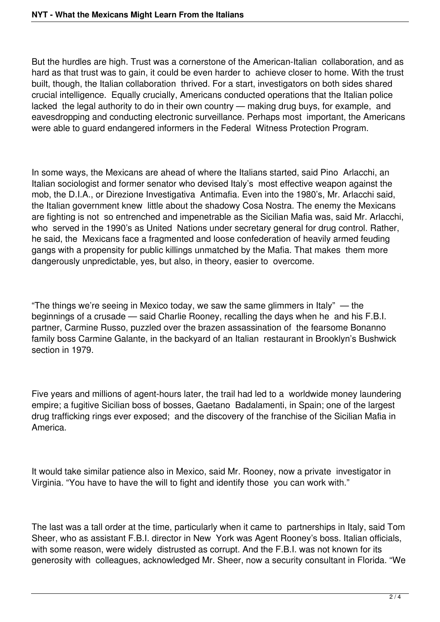But the hurdles are high. Trust was a cornerstone of the American-Italian collaboration, and as hard as that trust was to gain, it could be even harder to achieve closer to home. With the trust built, though, the Italian collaboration thrived. For a start, investigators on both sides shared crucial intelligence. Equally crucially, Americans conducted operations that the Italian police lacked the legal authority to do in their own country — making drug buys, for example, and eavesdropping and conducting electronic surveillance. Perhaps most important, the Americans were able to guard endangered informers in the Federal Witness Protection Program.

In some ways, the Mexicans are ahead of where the Italians started, said Pino Arlacchi, an Italian sociologist and former senator who devised Italy's most effective weapon against the mob, the D.I.A., or Direzione Investigativa Antimafia. Even into the 1980's, Mr. Arlacchi said, the Italian government knew little about the shadowy Cosa Nostra. The enemy the Mexicans are fighting is not so entrenched and impenetrable as the Sicilian Mafia was, said Mr. Arlacchi, who served in the 1990's as United Nations under secretary general for drug control. Rather, he said, the Mexicans face a fragmented and loose confederation of heavily armed feuding gangs with a propensity for public killings unmatched by the Mafia. That makes them more dangerously unpredictable, yes, but also, in theory, easier to overcome.

"The things we're seeing in Mexico today, we saw the same glimmers in Italy" — the beginnings of a crusade — said Charlie Rooney, recalling the days when he and his F.B.I. partner, Carmine Russo, puzzled over the brazen assassination of the fearsome Bonanno family boss Carmine Galante, in the backyard of an Italian restaurant in Brooklyn's Bushwick section in 1979.

Five years and millions of agent-hours later, the trail had led to a worldwide money laundering empire; a fugitive Sicilian boss of bosses, Gaetano Badalamenti, in Spain; one of the largest drug trafficking rings ever exposed; and the discovery of the franchise of the Sicilian Mafia in America.

It would take similar patience also in Mexico, said Mr. Rooney, now a private investigator in Virginia. "You have to have the will to fight and identify those you can work with."

The last was a tall order at the time, particularly when it came to partnerships in Italy, said Tom Sheer, who as assistant F.B.I. director in New York was Agent Rooney's boss. Italian officials, with some reason, were widely distrusted as corrupt. And the F.B.I. was not known for its generosity with colleagues, acknowledged Mr. Sheer, now a security consultant in Florida. "We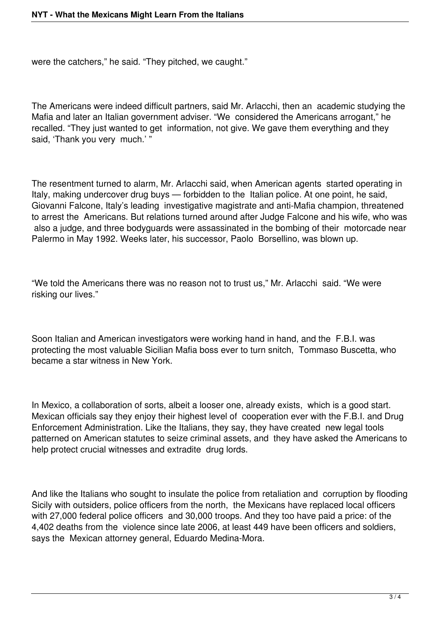were the catchers," he said. "They pitched, we caught."

The Americans were indeed difficult partners, said Mr. Arlacchi, then an academic studying the Mafia and later an Italian government adviser. "We considered the Americans arrogant," he recalled. "They just wanted to get information, not give. We gave them everything and they said, 'Thank you very much.'"

The resentment turned to alarm, Mr. Arlacchi said, when American agents started operating in Italy, making undercover drug buys — forbidden to the Italian police. At one point, he said, Giovanni Falcone, Italy's leading investigative magistrate and anti-Mafia champion, threatened to arrest the Americans. But relations turned around after Judge Falcone and his wife, who was also a judge, and three bodyguards were assassinated in the bombing of their motorcade near Palermo in May 1992. Weeks later, his successor, Paolo Borsellino, was blown up.

"We told the Americans there was no reason not to trust us," Mr. Arlacchi said. "We were risking our lives."

Soon Italian and American investigators were working hand in hand, and the F.B.I. was protecting the most valuable Sicilian Mafia boss ever to turn snitch, Tommaso Buscetta, who became a star witness in New York.

In Mexico, a collaboration of sorts, albeit a looser one, already exists, which is a good start. Mexican officials say they enjoy their highest level of cooperation ever with the F.B.I. and Drug Enforcement Administration. Like the Italians, they say, they have created new legal tools patterned on American statutes to seize criminal assets, and they have asked the Americans to help protect crucial witnesses and extradite drug lords.

And like the Italians who sought to insulate the police from retaliation and corruption by flooding Sicily with outsiders, police officers from the north, the Mexicans have replaced local officers with 27,000 federal police officers and 30,000 troops. And they too have paid a price: of the 4,402 deaths from the violence since late 2006, at least 449 have been officers and soldiers, says the Mexican attorney general, Eduardo Medina-Mora.